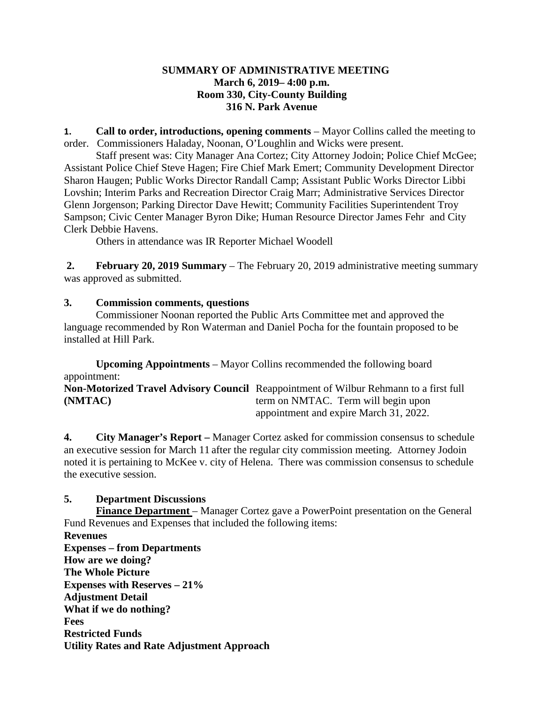## **SUMMARY OF ADMINISTRATIVE MEETING March 6, 2019– 4:00 p.m. Room 330, City-County Building 316 N. Park Avenue**

**1. Call to order, introductions, opening comments** – Mayor Collins called the meeting to order. Commissioners Haladay, Noonan, O'Loughlin and Wicks were present.

Staff present was: City Manager Ana Cortez; City Attorney Jodoin; Police Chief McGee; Assistant Police Chief Steve Hagen; Fire Chief Mark Emert; Community Development Director Sharon Haugen; Public Works Director Randall Camp; Assistant Public Works Director Libbi Lovshin; Interim Parks and Recreation Director Craig Marr; Administrative Services Director Glenn Jorgenson; Parking Director Dave Hewitt; Community Facilities Superintendent Troy Sampson; Civic Center Manager Byron Dike; Human Resource Director James Fehr and City Clerk Debbie Havens.

Others in attendance was IR Reporter Michael Woodell

**2. February 20, 2019 Summary** – The February 20, 2019 administrative meeting summary was approved as submitted.

## **3. Commission comments, questions**

Commissioner Noonan reported the Public Arts Committee met and approved the language recommended by Ron Waterman and Daniel Pocha for the fountain proposed to be installed at Hill Park.

**Upcoming Appointments** – Mayor Collins recommended the following board appointment:

**Non-Motorized Travel Advisory Council** Reappointment of Wilbur Rehmann to a first full **(NMTAC)** term on NMTAC. Term will begin upon appointment and expire March 31, 2022.

**4. City Manager's Report –** Manager Cortez asked for commission consensus to schedule an executive session for March 11 after the regular city commission meeting. Attorney Jodoin noted it is pertaining to McKee v. city of Helena. There was commission consensus to schedule the executive session.

## **5. Department Discussions**

**Finance Department** – Manager Cortez gave a PowerPoint presentation on the General Fund Revenues and Expenses that included the following items:

**Revenues Expenses – from Departments How are we doing? The Whole Picture Expenses with Reserves – 21% Adjustment Detail What if we do nothing? Fees Restricted Funds Utility Rates and Rate Adjustment Approach**